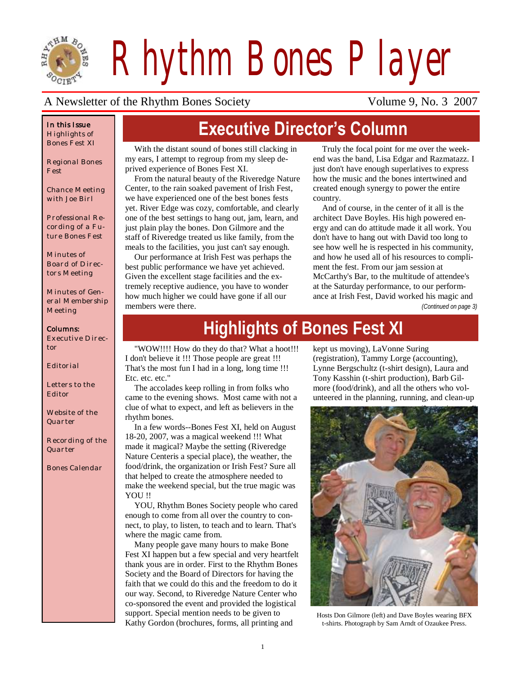

*Rhythm Bones Player*

### A Newsletter of the Rhythm Bones Society Volume 9, No. 3 2007

#### *In this Issue Highlights of Bones Fest XI*

*Regional Bones Fest*

*Chance Meeting with Joe Birl*

*Professional Recording of a Future Bones Fest*

*Minutes of Board of Directors Meeting*

*Minutes of General Membership Meeting*

#### *Columns:*

*Executive Director*

*Editorial*

*Letters to the Editor*

*Website of the Quarter*

*Recording of the Quarter*

*Bones Calendar*

# **Executive Director's Column**

With the distant sound of bones still clacking in my ears, I attempt to regroup from my sleep deprived experience of Bones Fest XI.

From the natural beauty of the Riveredge Nature Center, to the rain soaked pavement of Irish Fest, we have experienced one of the best bones fests yet. River Edge was cozy, comfortable, and clearly one of the best settings to hang out, jam, learn, and just plain play the bones. Don Gilmore and the staff of Riveredge treated us like family, from the meals to the facilities, you just can't say enough.

Our performance at Irish Fest was perhaps the best public performance we have yet achieved. Given the excellent stage facilities and the extremely receptive audience, you have to wonder how much higher we could have gone if all our members were there.

Truly the focal point for me over the weekend was the band, Lisa Edgar and Razmatazz. I just don't have enough superlatives to express how the music and the bones intertwined and created enough synergy to power the entire country.

And of course, in the center of it all is the architect Dave Boyles. His high powered energy and can do attitude made it all work. You don't have to hang out with David too long to see how well he is respected in his community, and how he used all of his resources to compliment the fest. From our jam session at McCarthy's Bar, to the multitude of attendee's at the Saturday performance, to our performance at Irish Fest, David worked his magic and

*(Continued on page 3)*

# **Highlights of Bones Fest XI**

"WOW!!!! How do they do that? What a hoot!!! I don't believe it !!! Those people are great !!! That's the most fun I had in a long, long time !!! Etc. etc. etc."

The accolades keep rolling in from folks who came to the evening shows. Most came with not a clue of what to expect, and left as believers in the rhythm bones.

In a few words--Bones Fest XI, held on August 18-20, 2007, was a magical weekend !!! What made it magical? Maybe the setting (Riveredge Nature Centeris a special place), the weather, the food/drink, the organization or Irish Fest? Sure all that helped to create the atmosphere needed to make the weekend special, but the true magic was YOU!!

YOU, Rhythm Bones Society people who cared enough to come from all over the country to connect, to play, to listen, to teach and to learn. That's where the magic came from.

Many people gave many hours to make Bone Fest XI happen but a few special and very heartfelt thank yous are in order. First to the Rhythm Bones Society and the Board of Directors for having the faith that we could do this and the freedom to do it our way. Second, to Riveredge Nature Center who co-sponsored the event and provided the logistical support. Special mention needs to be given to Kathy Gordon (brochures, forms, all printing and

kept us moving), LaVonne Suring (registration), Tammy Lorge (accounting), Lynne Bergschultz (t-shirt design), Laura and Tony Kasshin (t-shirt production), Barb Gilmore (food/drink), and all the others who volunteered in the planning, running, and clean-up



Hosts Don Gilmore (left) and Dave Boyles wearing BFX t-shirts. Photograph by Sam Arndt of Ozaukee Press.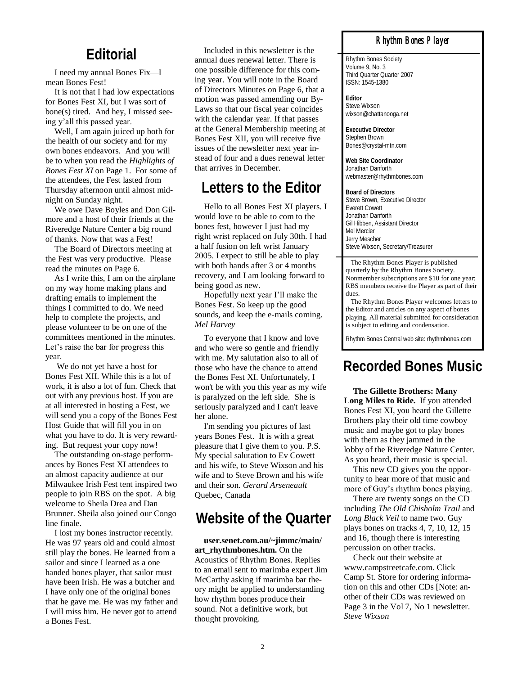### **Editorial**

I need my annual Bones Fix—I mean Bones Fest!

It is not that I had low expectations for Bones Fest XI, but I was sort of bone(s) tired. And hey, I missed seeing y"all this passed year.

Well, I am again juiced up both for the health of our society and for my own bones endeavors. And you will be to when you read the *Highlights of Bones Fest XI* on Page 1. For some of the attendees, the Fest lasted from Thursday afternoon until almost midnight on Sunday night.

We owe Dave Boyles and Don Gilmore and a host of their friends at the Riveredge Nature Center a big round of thanks. Now that was a Fest!

The Board of Directors meeting at the Fest was very productive. Please read the minutes on Page 6.

As I write this, I am on the airplane on my way home making plans and drafting emails to implement the things I committed to do. We need help to complete the projects, and please volunteer to be on one of the committees mentioned in the minutes. Let's raise the bar for progress this year.

We do not yet have a host for Bones Fest XII. While this is a lot of work, it is also a lot of fun. Check that out with any previous host. If you are at all interested in hosting a Fest, we will send you a copy of the Bones Fest Host Guide that will fill you in on what you have to do. It is very rewarding. But request your copy now!

The outstanding on-stage performances by Bones Fest XI attendees to an almost capacity audience at our Milwaukee Irish Fest tent inspired two people to join RBS on the spot. A big welcome to Sheila Drea and Dan Brunner. Sheila also joined our Congo line finale.

I lost my bones instructor recently. He was 97 years old and could almost still play the bones. He learned from a sailor and since I learned as a one handed bones player, that sailor must have been Irish. He was a butcher and I have only one of the original bones that he gave me. He was my father and I will miss him. He never got to attend a Bones Fest.

Included in this newsletter is the annual dues renewal letter. There is one possible difference for this coming year. You will note in the Board of Directors Minutes on Page 6, that a motion was passed amending our By-Laws so that our fiscal year coincides with the calendar year. If that passes at the General Membership meeting at Bones Fest XII, you will receive five issues of the newsletter next year instead of four and a dues renewal letter that arrives in December.

# **Letters to the Editor**

Hello to all Bones Fest XI players. I would love to be able to com to the bones fest, however I just had my right wrist replaced on July 30th. I had a half fusion on left wrist January 2005. I expect to still be able to play with both hands after 3 or 4 months recovery, and I am looking forward to being good as new.

Hopefully next year I"ll make the Bones Fest. So keep up the good sounds, and keep the e-mails coming. *Mel Harvey*

To everyone that I know and love and who were so gentle and friendly with me. My salutation also to all of those who have the chance to attend the Bones Fest XI. Unfortunately, I won't be with you this year as my wife is paralyzed on the left side. She is seriously paralyzed and I can't leave her alone.

I'm sending you pictures of last years Bones Fest. It is with a great pleasure that I give them to you. P.S. My special salutation to Ev Cowett and his wife, to Steve Wixson and his wife and to Steve Brown and his wife and their son. *Gerard Arseneault*  Quebec, Canada

## **Website of the Quarter**

**user.senet.com.au/~jimmc/main/ art\_rhythmbones.htm.** On the Acoustics of Rhythm Bones. Replies to an email sent to marimba expert Jim McCarthy asking if marimba bar theory might be applied to understanding how rhythm bones produce their sound. Not a definitive work, but thought provoking.

#### *Rhythm Bones Player*

Rhythm Bones Society Volume 9, No. 3 Third Quarter Quarter 2007 ISSN: 1545-1380

**Editor** Steve Wixson wixson@chattanooga.net

**Executive Director** Stephen Brown Bones@crystal-mtn.com

**Web Site Coordinator** Jonathan Danforth webmaster@rhythmbones.com

**Board of Directors** Steve Brown, Executive Director Everett Cowett Jonathan Danforth Gil Hibben, Assistant Director Mel Mercier Jerry Mescher Steve Wixson, Secretary/Treasurer

 The Rhythm Bones Player is published quarterly by the Rhythm Bones Society. Nonmember subscriptions are \$10 for one year; RBS members receive the Player as part of their dues.

 The Rhythm Bones Player welcomes letters to the Editor and articles on any aspect of bones playing. All material submitted for consideration is subject to editing and condensation.

Rhythm Bones Central web site: rhythmbones.com

# **Recorded Bones Music**

**The Gillette Brothers: Many Long Miles to Ride.** If you attended Bones Fest XI, you heard the Gillette Brothers play their old time cowboy music and maybe got to play bones with them as they jammed in the lobby of the Riveredge Nature Center. As you heard, their music is special.

This new CD gives you the opportunity to hear more of that music and more of Guy"s rhythm bones playing.

There are twenty songs on the CD including *The Old Chisholm Trail* and *Long Black Veil* to name two. Guy plays bones on tracks 4, 7, 10, 12, 15 and 16, though there is interesting percussion on other tracks.

Check out their website at www.campstreetcafe.com. Click Camp St. Store for ordering information on this and other CDs [Note: another of their CDs was reviewed on Page 3 in the Vol 7, No 1 newsletter. *Steve Wixson*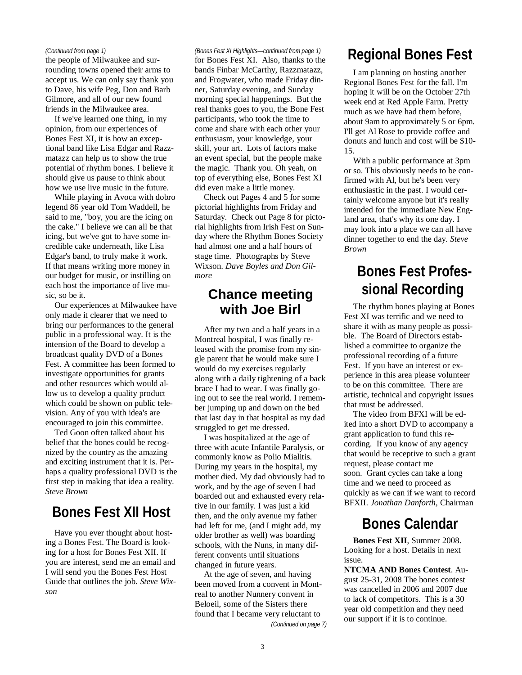#### *(Continued from page 1)*

rounding towns opened their arms to accept us. We can only say thank you to Dave, his wife Peg, Don and Barb Gilmore, and all of our new found friends in the Milwaukee area.

If we've learned one thing, in my opinion, from our experiences of Bones Fest XI, it is how an exceptional band like Lisa Edgar and Razzmatazz can help us to show the true potential of rhythm bones. I believe it should give us pause to think about how we use live music in the future.

While playing in Avoca with dobro legend 86 year old Tom Waddell, he said to me, "boy, you are the icing on the cake." I believe we can all be that icing, but we've got to have some incredible cake underneath, like Lisa Edgar's band, to truly make it work. If that means writing more money in our budget for music, or instilling on each host the importance of live music, so be it.

Our experiences at Milwaukee have only made it clearer that we need to bring our performances to the general public in a professional way. It is the intension of the Board to develop a broadcast quality DVD of a Bones Fest. A committee has been formed to investigate opportunities for grants and other resources which would allow us to develop a quality product which could be shown on public television. Any of you with idea's are encouraged to join this committee.

Ted Goon often talked about his belief that the bones could be recognized by the country as the amazing and exciting instrument that it is. Perhaps a quality professional DVD is the first step in making that idea a reality. *Steve Brown*

# **Bones Fest XII Host**

Have you ever thought about hosting a Bones Fest. The Board is looking for a host for Bones Fest XII. If you are interest, send me an email and I will send you the Bones Fest Host Guide that outlines the job. *Steve Wixson*

#### *(Bones Fest XI Highlights—continued from page 1)*

for Bones Fest XI. Also, thanks to the bands Finbar McCarthy, Razzmatazz, and Frogwater, who made Friday dinner, Saturday evening, and Sunday morning special happenings. But the real thanks goes to you, the Bone Fest participants, who took the time to come and share with each other your enthusiasm, your knowledge, your skill, your art. Lots of factors make an event special, but the people make the magic. Thank you. Oh yeah, on top of everything else, Bones Fest XI did even make a little money.

Check out Pages 4 and 5 for some pictorial highlights from Friday and Saturday. Check out Page 8 for pictorial highlights from Irish Fest on Sunday where the Rhythm Bones Society had almost one and a half hours of stage time. Photographs by Steve Wixson. *Dave Boyles and Don Gilmore*

### **Chance meeting with Joe Birl**

After my two and a half years in a Montreal hospital, I was finally released with the promise from my single parent that he would make sure I would do my exercises regularly along with a daily tightening of a back brace I had to wear. I was finally going out to see the real world. I remember jumping up and down on the bed that last day in that hospital as my dad struggled to get me dressed.

I was hospitalized at the age of three with acute Infantile Paralysis, or commonly know as Polio Mialitis. During my years in the hospital, my mother died. My dad obviously had to work, and by the age of seven I had boarded out and exhausted every relative in our family. I was just a kid then, and the only avenue my father had left for me, (and I might add, my older brother as well) was boarding schools, with the Nuns, in many different convents until situations changed in future years.

At the age of seven, and having been moved from a convent in Montreal to another Nunnery convent in Beloeil, some of the Sisters there found that I became very reluctant to *(Continued on page 7)*

# (Continued from page 1) (Bones Fest XI Highlights—continued from page 1)<br> **Regional Bones Fest XI.** Also, thanks to the Regional Bones Fest

I am planning on hosting another Regional Bones Fest for the fall. I'm hoping it will be on the October 27th week end at Red Apple Farm. Pretty much as we have had them before, about 9am to approximately 5 or 6pm. I'll get Al Rose to provide coffee and donuts and lunch and cost will be \$10- 15.

With a public performance at 3pm or so. This obviously needs to be confirmed with Al, but he's been very enthusiastic in the past. I would certainly welcome anyone but it's really intended for the immediate New England area, that's why its one day. I may look into a place we can all have dinner together to end the day. *Steve Brown*

# **Bones Fest Professional Recording**

The rhythm bones playing at Bones Fest XI was terrific and we need to share it with as many people as possible. The Board of Directors established a committee to organize the professional recording of a future Fest. If you have an interest or experience in this area please volunteer to be on this committee. There are artistic, technical and copyright issues that must be addressed.

The video from BFXI will be edited into a short DVD to accompany a grant application to fund this recording. If you know of any agency that would be receptive to such a grant request, please contact me soon. Grant cycles can take a long time and we need to proceed as quickly as we can if we want to record BFXII. *Jonathan Danforth,* Chairman

## **Bones Calendar**

**Bones Fest XII**, Summer 2008. Looking for a host. Details in next issue.

**NTCMA AND Bones Contest**. August 25-31, 2008 The bones contest was cancelled in 2006 and 2007 due to lack of competitors. This is a 30 year old competition and they need our support if it is to continue.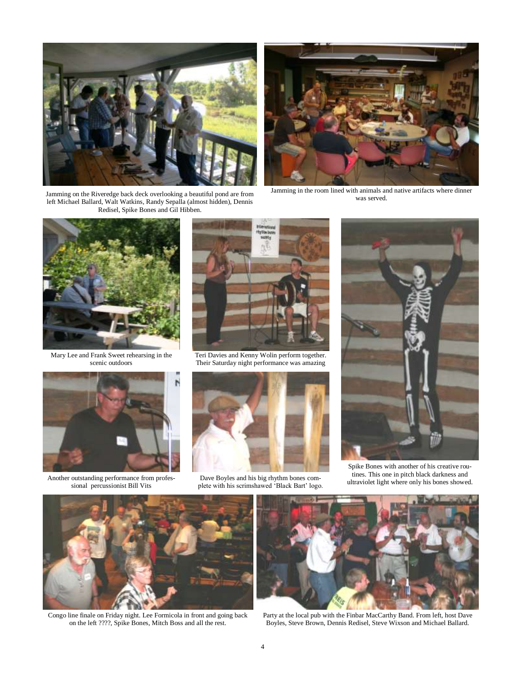

Jamming on the Riveredge back deck overlooking a beautiful pond are from left Michael Ballard, Walt Watkins, Randy Sepalla (almost hidden), Dennis Redisel, Spike Bones and Gil Hibben.



Jamming in the room lined with animals and native artifacts where dinner was served.



Mary Lee and Frank Sweet rehearsing in the scenic outdoors



Another outstanding performance from professional percussionist Bill Vits



Teri Davies and Kenny Wolin perform together. Their Saturday night performance was amazing



Dave Boyles and his big rhythm bones complete with his scrimshawed "Black Bart" logo.



Spike Bones with another of his creative routines. This one in pitch black darkness and ultraviolet light where only his bones showed.



Congo line finale on Friday night. Lee Formicola in front and going back on the left ????, Spike Bones, Mitch Boss and all the rest.



Party at the local pub with the Finbar MacCarthy Band. From left, host Dave Boyles, Steve Brown, Dennis Redisel, Steve Wixson and Michael Ballard.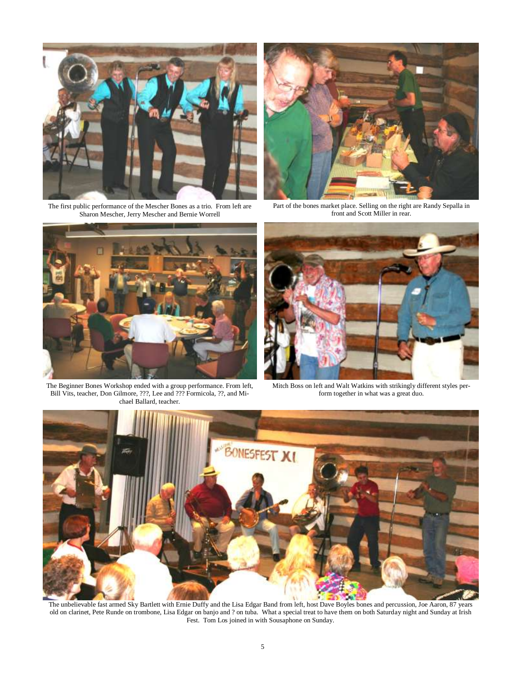

The first public performance of the Mescher Bones as a trio. From left are Sharon Mescher, Jerry Mescher and Bernie Worrell



Part of the bones market place. Selling on the right are Randy Sepalla in front and Scott Miller in rear.



The Beginner Bones Workshop ended with a group performance. From left, Bill Vits, teacher, Don Gilmore, ???, Lee and ??? Formicola, ??, and Michael Ballard, teacher.



Mitch Boss on left and Walt Watkins with strikingly different styles perform together in what was a great duo.



The unbelievable fast armed Sky Bartlett with Ernie Duffy and the Lisa Edgar Band from left, host Dave Boyles bones and percussion, Joe Aaron, 87 years old on clarinet, Pete Runde on trombone, Lisa Edgar on banjo and ? on tuba. What a special treat to have them on both Saturday night and Sunday at Irish Fest. Tom Los joined in with Sousaphone on Sunday.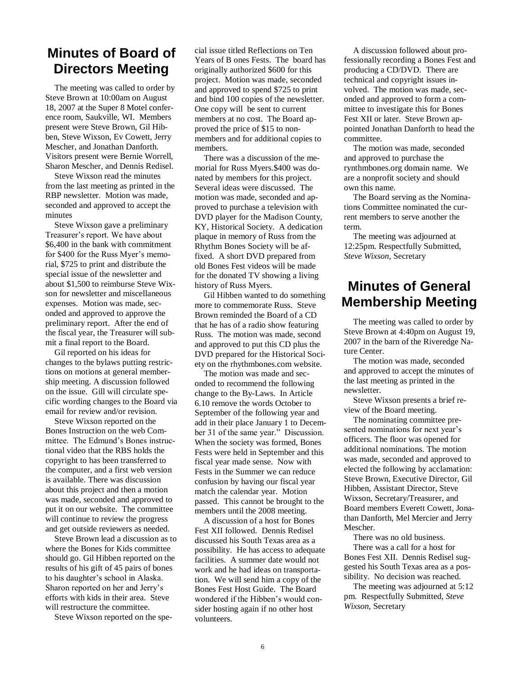### **Minutes of Board of Directors Meeting**

The meeting was called to order by Steve Brown at 10:00am on August 18, 2007 at the Super 8 Motel conference room, Saukville, WI. Members present were Steve Brown, Gil Hibben, Steve Wixson, Ev Cowett, Jerry Mescher, and Jonathan Danforth. Visitors present were Bernie Worrell, Sharon Mescher, and Dennis Redisel.

Steve Wixson read the minutes from the last meeting as printed in the RBP newsletter. Motion was made, seconded and approved to accept the minutes

Steve Wixson gave a preliminary Treasurer"s report. We have about \$6,400 in the bank with commitment for \$400 for the Russ Myer's memorial, \$725 to print and distribute the special issue of the newsletter and about \$1,500 to reimburse Steve Wixson for newsletter and miscellaneous expenses. Motion was made, seconded and approved to approve the preliminary report. After the end of the fiscal year, the Treasurer will submit a final report to the Board.

Gil reported on his ideas for changes to the bylaws putting restrictions on motions at general membership meeting. A discussion followed on the issue. Gill will circulate specific wording changes to the Board via email for review and/or revision.

Steve Wixson reported on the Bones Instruction on the web Committee. The Edmund"s Bones instructional video that the RBS holds the copyright to has been transferred to the computer, and a first web version is available. There was discussion about this project and then a motion was made, seconded and approved to put it on our website. The committee will continue to review the progress and get outside reviewers as needed.

Steve Brown lead a discussion as to where the Bones for Kids committee should go. Gil Hibben reported on the results of his gift of 45 pairs of bones to his daughter"s school in Alaska. Sharon reported on her and Jerry"s efforts with kids in their area. Steve will restructure the committee.

Steve Wixson reported on the spe-

cial issue titled Reflections on Ten Years of B ones Fests. The board has originally authorized \$600 for this project. Motion was made, seconded and approved to spend \$725 to print and bind 100 copies of the newsletter. One copy will be sent to current members at no cost. The Board approved the price of \$15 to nonmembers and for additional copies to members.

There was a discussion of the memorial for Russ Myers.\$400 was donated by members for this project. Several ideas were discussed. The motion was made, seconded and approved to purchase a television with DVD player for the Madison County, KY, Historical Society. A dedication plaque in memory of Russ from the Rhythm Bones Society will be affixed. A short DVD prepared from old Bones Fest videos will be made for the donated TV showing a living history of Russ Myers.

Gil Hibben wanted to do something more to commemorate Russ. Steve Brown reminded the Board of a CD that he has of a radio show featuring Russ. The motion was made, second and approved to put this CD plus the DVD prepared for the Historical Society on the rhythmbones.com website.

The motion was made and seconded to recommend the following change to the By-Laws. In Article 6.10 remove the words October to September of the following year and add in their place January 1 to December 31 of the same year." Discussion. When the society was formed, Bones Fests were held in September and this fiscal year made sense. Now with Fests in the Summer we can reduce confusion by having our fiscal year match the calendar year. Motion passed. This cannot be brought to the members until the 2008 meeting.

A discussion of a host for Bones Fest XII followed. Dennis Redisel discussed his South Texas area as a possibility. He has access to adequate facilities. A summer date would not work and he had ideas on transportation. We will send him a copy of the Bones Fest Host Guide. The Board wondered if the Hibben"s would consider hosting again if no other host volunteers.

A discussion followed about professionally recording a Bones Fest and producing a CD/DVD. There are technical and copyright issues involved. The motion was made, seconded and approved to form a committee to investigate this for Bones Fest XII or later. Steve Brown appointed Jonathan Danforth to head the committee.

The motion was made, seconded and approved to purchase the rynthmbones.org domain name. We are a nonprofit society and should own this name.

The Board serving as the Nominations Committee nominated the current members to serve another the term.

The meeting was adjourned at 12:25pm. Respectfully Submitted, *Steve Wixson,* Secretary

### **Minutes of General Membership Meeting**

The meeting was called to order by Steve Brown at 4:40pm on August 19, 2007 in the barn of the Riveredge Nature Center.

The motion was made, seconded and approved to accept the minutes of the last meeting as printed in the newsletter.

Steve Wixson presents a brief review of the Board meeting.

The nominating committee presented nominations for next year's officers. The floor was opened for additional nominations. The motion was made, seconded and approved to elected the following by acclamation: Steve Brown, Executive Director, Gil Hibben, Assistant Director, Steve Wixson, Secretary/Treasurer, and Board members Everett Cowett, Jonathan Danforth, Mel Mercier and Jerry Mescher.

There was no old business.

There was a call for a host for Bones Fest XII. Dennis Redisel suggested his South Texas area as a possibility. No decision was reached.

The meeting was adjourned at 5:12 pm. Respectfully Submitted, *Steve Wixson*, Secretary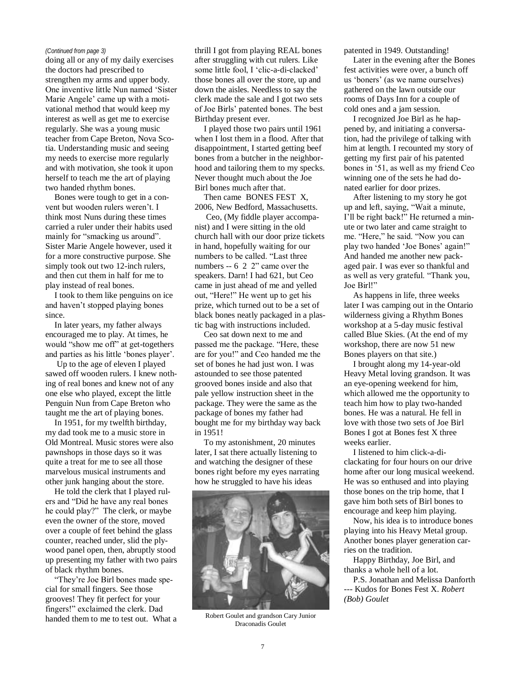#### *(Continued from page 3)*

doing all or any of my daily exercises the doctors had prescribed to strengthen my arms and upper body. One inventive little Nun named "Sister Marie Angele' came up with a motivational method that would keep my interest as well as get me to exercise regularly. She was a young music teacher from Cape Breton, Nova Scotia. Understanding music and seeing my needs to exercise more regularly and with motivation, she took it upon herself to teach me the art of playing two handed rhythm bones.

Bones were tough to get in a convent but wooden rulers weren"t. I think most Nuns during these times carried a ruler under their habits used mainly for "smacking us around". Sister Marie Angele however, used it for a more constructive purpose. She simply took out two 12-inch rulers. and then cut them in half for me to play instead of real bones.

I took to them like penguins on ice and haven"t stopped playing bones since.

In later years, my father always encouraged me to play. At times, he would "show me off" at get-togethers and parties as his little "bones player".

Up to the age of eleven I played sawed off wooden rulers. I knew nothing of real bones and knew not of any one else who played, except the little Penguin Nun from Cape Breton who taught me the art of playing bones.

In 1951, for my twelfth birthday, my dad took me to a music store in Old Montreal. Music stores were also pawnshops in those days so it was quite a treat for me to see all those marvelous musical instruments and other junk hanging about the store.

He told the clerk that I played rulers and "Did he have any real bones he could play?" The clerk, or maybe even the owner of the store, moved over a couple of feet behind the glass counter, reached under, slid the plywood panel open, then, abruptly stood up presenting my father with two pairs of black rhythm bones.

"They"re Joe Birl bones made special for small fingers. See those grooves! They fit perfect for your fingers!" exclaimed the clerk. Dad handed them to me to test out. What a

thrill I got from playing REAL bones after struggling with cut rulers. Like some little fool, I "clic-a-di-clacked" those bones all over the store, up and down the aisles. Needless to say the clerk made the sale and I got two sets of Joe Birls" patented bones. The best Birthday present ever.

I played those two pairs until 1961 when I lost them in a flood. After that disappointment, I started getting beef bones from a butcher in the neighborhood and tailoring them to my specks. Never thought much about the Joe Birl bones much after that.

Then came BONES FEST X, 2006, New Bedford, Massachusetts.

Ceo, (My fiddle player accompanist) and I were sitting in the old church hall with our door prize tickets in hand, hopefully waiting for our numbers to be called. "Last three numbers -- 6 2 2" came over the speakers. Darn! I had 621, but Ceo came in just ahead of me and yelled out, "Here!" He went up to get his prize, which turned out to be a set of black bones neatly packaged in a plastic bag with instructions included.

Ceo sat down next to me and passed me the package. "Here, these are for you!" and Ceo handed me the set of bones he had just won. I was astounded to see those patented grooved bones inside and also that pale yellow instruction sheet in the package. They were the same as the package of bones my father had bought me for my birthday way back in 1951!

To my astonishment, 20 minutes later, I sat there actually listening to and watching the designer of these bones right before my eyes narrating how he struggled to have his ideas



Robert Goulet and grandson Cary Junior Draconadis Goulet

patented in 1949. Outstanding!

Later in the evening after the Bones fest activities were over, a bunch off us "boners" (as we name ourselves) gathered on the lawn outside our rooms of Days Inn for a couple of cold ones and a jam session.

I recognized Joe Birl as he happened by, and initiating a conversation, had the privilege of talking with him at length. I recounted my story of getting my first pair of his patented bones in "51, as well as my friend Ceo winning one of the sets he had donated earlier for door prizes.

After listening to my story he got up and left, saying, "Wait a minute, I"ll be right back!" He returned a minute or two later and came straight to me. "Here," he said. "Now you can play two handed 'Joe Bones' again!" And handed me another new packaged pair. I was ever so thankful and as well as very grateful. "Thank you, Joe Birl!"

As happens in life, three weeks later I was camping out in the Ontario wilderness giving a Rhythm Bones workshop at a 5-day music festival called Blue Skies. (At the end of my workshop, there are now 51 new Bones players on that site.)

I brought along my 14-year-old Heavy Metal loving grandson. It was an eye-opening weekend for him, which allowed me the opportunity to teach him how to play two-handed bones. He was a natural. He fell in love with those two sets of Joe Birl Bones I got at Bones fest X three weeks earlier.

I listened to him click-a-diclackating for four hours on our drive home after our long musical weekend. He was so enthused and into playing those bones on the trip home, that I gave him both sets of Birl bones to encourage and keep him playing.

Now, his idea is to introduce bones playing into his Heavy Metal group. Another bones player generation carries on the tradition.

Happy Birthday, Joe Birl, and thanks a whole hell of a lot.

P.S. Jonathan and Melissa Danforth --- Kudos for Bones Fest X. *Robert (Bob) Goulet*